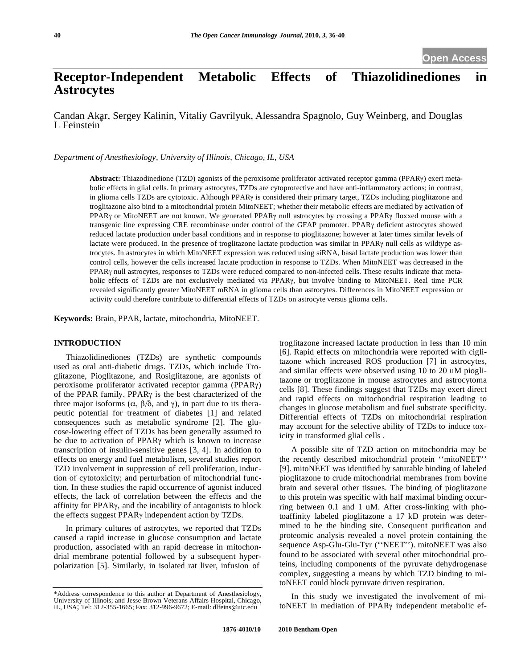# **Receptor-Independent Metabolic Effects of Thiazolidinediones in Astrocytes**

Candan Akar, Sergey Kalinin, Vitaliy Gavrilyuk, Alessandra Spagnolo, Guy Weinberg, and Douglas L Feinstein<sup>\*</sup>

*Department of Anesthesiology, University of Illinois, Chicago, IL, USA* 

**Abstract:** Thiazodinedione (TZD) agonists of the peroxisome proliferator activated receptor gamma (PPAR<sub>Y</sub>) exert metabolic effects in glial cells. In primary astrocytes, TZDs are cytoprotective and have anti-inflammatory actions; in contrast, in glioma cells TZDs are cytotoxic. Although PPAR<sub>Y</sub> is considered their primary target, TZDs including pioglitazone and troglitazone also bind to a mitochondrial protein MitoNEET; whether their metabolic effects are mediated by activation of PPAR<sub>Y</sub> or MitoNEET are not known. We generated PPAR<sub>Y</sub> null astrocytes by crossing a PPAR<sub>Y</sub> floxxed mouse with a transgenic line expressing CRE recombinase under control of the GFAP promoter. PPARy deficient astrocytes showed reduced lactate production under basal conditions and in response to pioglitazone; however at later times similar levels of lactate were produced. In the presence of troglitazone lactate production was similar in PPAR $\gamma$  null cells as wildtype astrocytes. In astrocytes in which MitoNEET expression was reduced using siRNA, basal lactate production was lower than control cells, however the cells increased lactate production in response to TZDs. When MitoNEET was decreased in the PPAR<sub>Y</sub> null astrocytes, responses to TZDs were reduced compared to non-infected cells. These results indicate that metabolic effects of TZDs are not exclusively mediated via PPARγ, but involve binding to MitoNEET. Real time PCR revealed significantly greater MitoNEET mRNA in glioma cells than astrocytes. Differences in MitoNEET expression or activity could therefore contribute to differential effects of TZDs on astrocyte versus glioma cells.

**Keywords:** Brain, PPAR, lactate, mitochondria, MitoNEET.

## **INTRODUCTION**

Thiazolidinediones (TZDs) are synthetic compounds used as oral anti-diabetic drugs. TZDs, which include Troglitazone, Pioglitazone, and Rosiglitazone, are agonists of peroxisome proliferator activated receptor gamma (PPAR) of the PPAR family. PPAR $\gamma$  is the best characterized of the three major isoforms  $(\alpha, \beta/\delta, \text{ and } \gamma)$ , in part due to its therapeutic potential for treatment of diabetes [1] and related consequences such as metabolic syndrome [2]. The glucose-lowering effect of TZDs has been generally assumed to be due to activation of  $PPAR\gamma$  which is known to increase transcription of insulin-sensitive genes [3, 4]. In addition to effects on energy and fuel metabolism, several studies report TZD involvement in suppression of cell proliferation, induction of cytotoxicity; and perturbation of mitochondrial function. In these studies the rapid occurrence of agonist induced effects, the lack of correlation between the effects and the affinity for PPAR<sub>Y</sub>, and the incability of antagonists to block the effects suggest PPAR<sub>Y</sub> independent action by TZDs.

In primary cultures of astrocytes, we reported that TZDs caused a rapid increase in glucose consumption and lactate production, associated with an rapid decrease in mitochondrial membrane potential followed by a subsequent hyperpolarization [5]. Similarly, in isolated rat liver, infusion of

troglitazone increased lactate production in less than 10 min [6]. Rapid effects on mitochondria were reported with ciglitazone which increased ROS production [7] in astrocytes, and similar effects were observed using 10 to 20 uM pioglitazone or troglitazone in mouse astrocytes and astrocytoma cells [8]. These findings suggest that TZDs may exert direct and rapid effects on mitochondrial respiration leading to changes in glucose metabolism and fuel substrate specificity. Differential effects of TZDs on mitochondrial respiration may account for the selective ability of TZDs to induce toxicity in transformed glial cells .

A possible site of TZD action on mitochondria may be the recently described mitochondrial protein ''mitoNEET'' [9]. mitoNEET was identified by saturable binding of labeled pioglitazone to crude mitochondrial membranes from bovine brain and several other tissues. The binding of pioglitazone to this protein was specific with half maximal binding occurring between 0.1 and 1 uM. After cross-linking with photoaffinity labeled pioglitazone a 17 kD protein was determined to be the binding site. Consequent purification and proteomic analysis revealed a novel protein containing the sequence Asp-Glu-Glu-Tyr (''NEET''). mitoNEET was also found to be associated with several other mitochondrial proteins, including components of the pyruvate dehydrogenase complex, suggesting a means by which TZD binding to mitoNEET could block pyruvate driven respiration.

In this study we investigated the involvement of mitoNEET in mediation of PPAR<sub>Y</sub> independent metabolic ef-

<sup>\*</sup>Address correspondence to this author at Department of Anesthesiology, University of Illinois; and Jesse Brown Veterans Affairs Hospital, Chicago, IL, USA; Tel: 312-355-1665; Fax: 312-996-9672; E-mail: dlfeins@uic.edu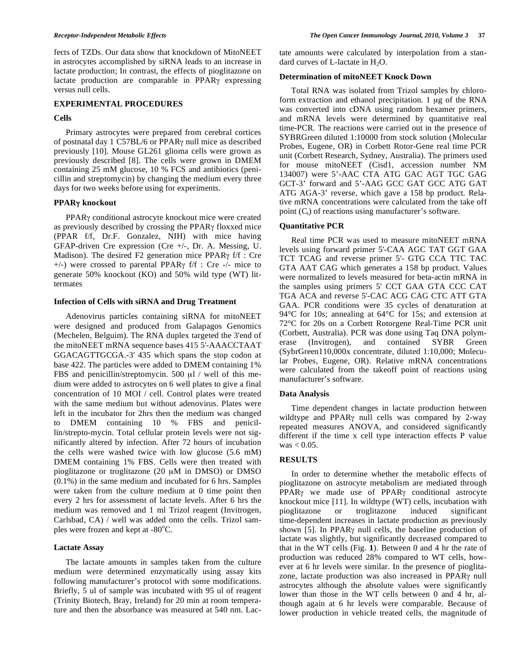fects of TZDs. Our data show that knockdown of MitoNEET in astrocytes accomplished by siRNA leads to an increase in lactate production; In contrast, the effects of pioglitazone on lactate production are comparable in  $PPAR<sub>Y</sub>$  expressing versus null cells.

#### **EXPERIMENTAL PROCEDURES**

#### **Cells**

Primary astrocytes were prepared from cerebral cortices of postnatal day 1 C57BL/6 or PPAR<sub>Y</sub> null mice as described previously [10]. Mouse GL261 glioma cells were grown as previously described [8]. The cells were grown in DMEM containing 25 mM glucose, 10 % FCS and antibiotics (penicillin and streptomycin) by changing the medium every three days for two weeks before using for experiments.

#### **PPAR knockout**

PPAR<sub>Y</sub> conditional astrocyte knockout mice were created as previously described by crossing the PPARy floxxed mice (PPAR f/f, Dr.F. Gonzalez, NIH) with mice having GFAP-driven Cre expression (Cre +/-, Dr. A. Messing, U. Madison). The desired F2 generation mice PPAR $\gamma$  f/f : Cre  $+/-$ ) were crossed to parental PPAR $\gamma$  f/f : Cre -/- mice to generate 50% knockout (KO) and 50% wild type (WT) littermates

#### **Infection of Cells with siRNA and Drug Treatment**

Adenovirus particles containing siRNA for mitoNEET were designed and produced from Galapagos Genomics (Mechelen, Belguim). The RNA duplex targeted the 3'end of the mitoNEET mRNA sequence bases 415 5'-AAACCTAAT GGACAGTTGCGA.-3' 435 which spans the stop codon at base 422. The particles were added to DMEM containing 1% FBS and penicillin/streptomycin. 500 μl / well of this medium were added to astrocytes on 6 well plates to give a final concentration of 10 MOI / cell. Control plates were treated with the same medium but without adenovirus. Plates were left in the incubator for 2hrs then the medium was changed to DMEM containing 10 % FBS and penicillin/strepto-mycin. Total cellular protein levels were not significantly altered by infection. After 72 hours of incubation the cells were washed twice with low glucose (5.6 mM) DMEM containing 1% FBS. Cells were then treated with pioglitazone or troglitazone (20 μM in DMSO) or DMSO (0.1%) in the same medium and incubated for 6 hrs. Samples were taken from the culture medium at 0 time point then every 2 hrs for assessment of lactate levels. After 6 hrs the medium was removed and 1 ml Trizol reagent (Invitrogen, Carlsbad, CA) / well was added onto the cells. Trizol samples were frozen and kept at -80°C.

#### **Lactate Assay**

The lactate amounts in samples taken from the culture medium were determined enzymatically using assay kits following manufacturer's protocol with some modifications. Briefly, 5 ul of sample was incubated with 95 ul of reagent (Trinity Biotech, Bray, Ireland) for 20 min at room temperature and then the absorbance was measured at 540 nm. Lactate amounts were calculated by interpolation from a standard curves of L-lactate in  $H_2O$ .

#### **Determination of mitoNEET Knock Down**

Total RNA was isolated from Trizol samples by chloroform extraction and ethanol precipitation. 1 μg of the RNA was converted into cDNA using random hexamer primers, and mRNA levels were determined by quantitative real time-PCR. The reactions were carried out in the presence of SYBRGreen diluted 1:10000 from stock solution (Molecular Probes, Eugene, OR) in Corbett Rotor-Gene real time PCR unit (Corbett Research, Sydney, Australia). The primers used for mouse mitoNEET (Cisd1, accession number NM 134007) were 5'-AAC CTA ATG GAC AGT TGC GAG GCT-3' forward and 5'-AAG GCC GAT GCC ATG GAT ATG AGA-3' reverse, which gave a 158 bp product. Relative mRNA concentrations were calculated from the take off point  $(C_t)$  of reactions using manufacturer's software.

#### **Quantitative PCR**

Real time PCR was used to measure mitoNEET mRNA levels using forward primer 5'-CAA AGC TAT GGT GAA TCT TCAG and reverse primer 5'- GTG CCA TTC TAC GTA AAT CAG which generates a 158 bp product. Values were normalized to levels measured for beta-actin mRNA in the samples using primers 5' CCT GAA GTA CCC CAT TGA ACA and reverse 5'-CAC ACG CAG CTC ATT GTA GAA. PCR conditions were 35 cycles of denaturation at 94°C for 10s; annealing at 64°C for 15s; and extension at 72°C for 20s on a Corbett Rotorgene Real-Time PCR unit (Corbett, Australia). PCR was done using Taq DNA polymerase (Invitrogen), and contained SYBR Green (SybrGreen110,000x concentrate, diluted 1:10,000; Molecular Probes, Eugene, OR). Relative mRNA concentrations were calculated from the takeoff point of reactions using manufacturer's software.

### **Data Analysis**

Time dependent changes in lactate production between wildtype and PPAR<sub>Y</sub> null cells was compared by 2-way repeated measures ANOVA, and considered significantly different if the time x cell type interaction effects P value  $was < 0.05$ .

# **RESULTS**

In order to determine whether the metabolic effects of pioglitazone on astrocyte metabolism are mediated through  $PPAR<sub>Y</sub>$  we made use of  $PPAR<sub>Y</sub>$  conditional astrocyte knockout mice [11]. In wildtype (WT) cells, incubation with pioglitazone or troglitazone induced significant time-dependent increases in lactate production as previously shown [5]. In PPAR $\gamma$  null cells, the baseline production of lactate was slightly, but significantly decreased compared to that in the WT cells (Fig. **1**). Between 0 and 4 hr the rate of production was reduced 28% compared to WT cells, however at 6 hr levels were similar. In the presence of pioglitazone, lactate production was also increased in PPAR $\gamma$  null astrocytes although the absolute values were significantly lower than those in the WT cells between 0 and 4 hr, although again at 6 hr levels were comparable. Because of lower production in vehicle treated cells, the magnitude of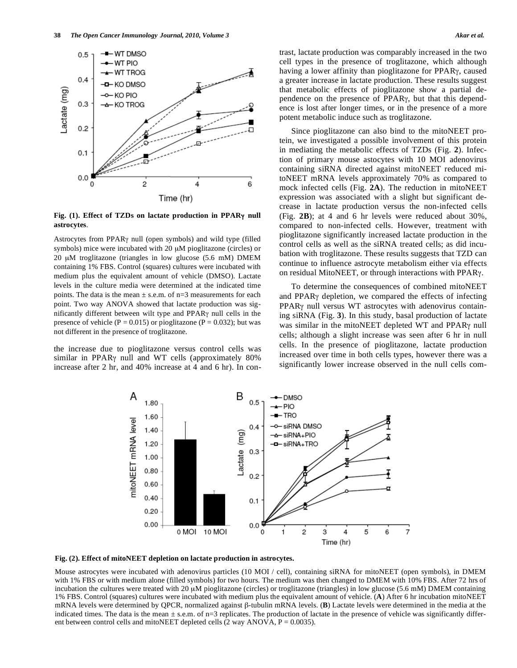

**Fig.** (1). Effect of TZDs on lactate production in PPARγ null **astrocytes**.

Astrocytes from PPAR<sub>Y</sub> null (open symbols) and wild type (filled symbols) mice were incubated with 20 μM pioglitazone (circles) or 20 μM troglitazone (triangles in low glucose (5.6 mM) DMEM containing 1% FBS. Control (squares) cultures were incubated with medium plus the equivalent amount of vehicle (DMSO). Lactate levels in the culture media were determined at the indicated time points. The data is the mean  $\pm$  s.e.m. of n=3 measurements for each point. Two way ANOVA showed that lactate production was significantly different between wilt type and PPAR<sub>Y</sub> null cells in the presence of vehicle ( $P = 0.015$ ) or pioglitazone ( $P = 0.032$ ); but was not different in the presence of troglitazone.

the increase due to pioglitazone versus control cells was similar in PPAR<sub>Y</sub> null and WT cells (approximately 80% increase after 2 hr, and 40% increase at 4 and 6 hr). In contrast, lactate production was comparably increased in the two cell types in the presence of troglitazone, which although having a lower affinity than pioglitazone for PPAR<sub>Y</sub>, caused a greater increase in lactate production. These results suggest that metabolic effects of pioglitazone show a partial dependence on the presence of PPARy, but that this dependence is lost after longer times, or in the presence of a more potent metabolic induce such as troglitazone.

Since pioglitazone can also bind to the mitoNEET protein, we investigated a possible involvement of this protein in mediating the metabolic effects of TZDs (Fig. **2**). Infection of primary mouse astocytes with 10 MOI adenovirus containing siRNA directed against mitoNEET reduced mitoNEET mRNA levels approximately 70% as compared to mock infected cells (Fig. **2A**). The reduction in mitoNEET expression was associated with a slight but significant decrease in lactate production versus the non-infected cells (Fig. **2B**); at 4 and 6 hr levels were reduced about 30%, compared to non-infected cells. However, treatment with pioglitazone significantly increased lactate production in the control cells as well as the siRNA treated cells; as did incubation with troglitazone. These results suggests that TZD can continue to influence astrocyte metabolism either via effects on residual MitoNEET, or through interactions with PPARy.

To determine the consequences of combined mitoNEET and PPAR<sub>Y</sub> depletion, we compared the effects of infecting PPAR<sub>Y</sub> null versus WT astrocytes with adenovirus containing siRNA (Fig. **3**). In this study, basal production of lactate was similar in the mitoNEET depleted WT and PPARy null cells; although a slight increase was seen after 6 hr in null cells. In the presence of pioglitazone, lactate production increased over time in both cells types, however there was a significantly lower increase observed in the null cells com-





Mouse astrocytes were incubated with adenovirus particles (10 MOI / cell), containing siRNA for mitoNEET (open symbols), in DMEM with 1% FBS or with medium alone (filled symbols) for two hours. The medium was then changed to DMEM with 10% FBS. After 72 hrs of incubation the cultures were treated with 20 μM pioglitazone (circles) or troglitazone (triangles) in low glucose (5.6 mM) DMEM containing 1% FBS. Control (squares) cultures were incubated with medium plus the equivalent amount of vehicle. (**A**) After 6 hr incubation mitoNEET mRNA levels were determined by QPCR, normalized against  $\beta$ -tubulin mRNA levels. (B) Lactate levels were determined in the media at the indicated times. The data is the mean  $\pm$  s.e.m. of n=3 replicates. The production of lactate in the presence of vehicle was significantly different between control cells and mitoNEET depleted cells  $(2 \text{ way ANOVA}, P = 0.0035)$ .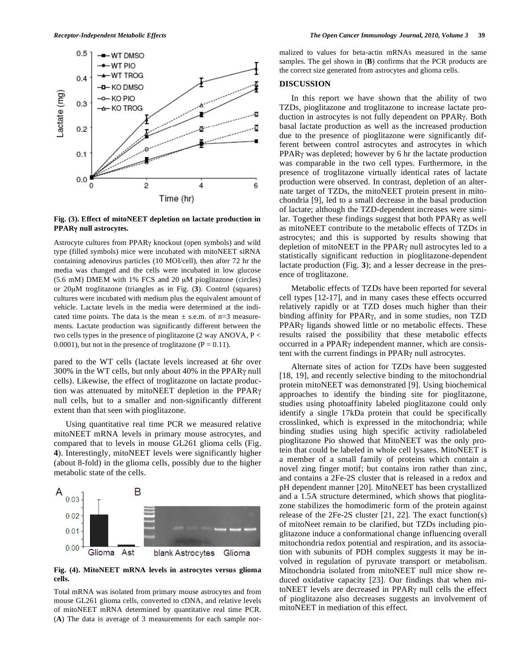

**Fig. (3). Effect of mitoNEET depletion on lactate production in PPAR null astrocytes.** 

Astrocyte cultures from  $PPAR\gamma$  knockout (open symbols) and wild type (filled symbols) mice were incubated with mitoNEET siRNA containing adenovirus particles (10 MOI/cell), then after 72 hr the media was changed and the cells were incubated in low glucose (5.6 mM) DMEM with 1% FCS and 20 μM pioglitazone (circles) or 20μM troglitazone (triangles as in Fig. (**3**). Control (squares) cultures were incubated with medium plus the equivalent amount of vehicle. Lactate levels in the media were determined at the indicated time points. The data is the mean  $\pm$  s.e.m. of n=3 measurements. Lactate production was significantly different between the two cells types in the presence of pioglitazone (2 way ANOVA,  $P <$ 0.0001), but not in the presence of troglitazone ( $P = 0.11$ ).

pared to the WT cells (lactate levels increased at 6hr over  $300\%$  in the WT cells, but only about 40% in the PPAR $\gamma$  null cells). Likewise, the effect of troglitazone on lactate production was attenuated by mitoNEET depletion in the PPAR null cells, but to a smaller and non-significantly different extent than that seen with pioglitazone.

Using quantitative real time PCR we measured relative mitoNEET mRNA levels in primary mouse astrocytes, and compared that to levels in mouse GL261 glioma cells (Fig. **4**). Interestingly, mitoNEET levels were significantly higher (about 8-fold) in the glioma cells, possibly due to the higher metabolic state of the cells.



**Fig. (4). MitoNEET mRNA levels in astrocytes versus glioma cells.** 

Total mRNA was isolated from primary mouse astrocytes and from mouse GL261 glioma cells, converted to cDNA, and relative levels of mitoNEET mRNA determined by quantitative real time PCR. (**A**) The data is average of 3 measurements for each sample normalized to values for beta-actin mRNAs measured in the same samples. The gel shown in (**B**) confirms that the PCR products are the correct size generated from astrocytes and glioma cells.

#### **DISCUSSION**

In this report we have shown that the ability of two TZDs, pioglitazone and troglitazone to increase lactate production in astrocytes is not fully dependent on PPARy. Both basal lactate production as well as the increased production due to the presence of pioglitazone were significantly different between control astrocytes and astrocytes in which PPAR<sub>Y</sub> was depleted; however by 6 hr the lactate production was comparable in the two cell types. Furthermore, in the presence of troglitazone virtually identical rates of lactate production were observed. In contrast, depletion of an alternate target of TZDs, the mitoNEET protein present in mitochondria [9], led to a small decrease in the basal production of lactate; although the TZD-dependent increases were similar. Together these findings suggest that both  $PPAR\gamma$  as well as mitoNEET contribute to the metabolic effects of TZDs in astrocytes; and this is supported by results showing that depletion of mitoNEET in the PPAR $\gamma$  null astrocytes led to a statistically significant reduction in pioglitazone-dependent lactate production (Fig. **3**); and a lesser decrease in the presence of troglitazone.

Metabolic effects of TZDs have been reported for several cell types [12-17], and in many cases these effects occurred relatively rapidly or at TZD doses much higher than their binding affinity for PPAR<sub>Y</sub>, and in some studies, non TZD PPAR<sub>Y</sub> ligands showed little or no metabolic effects. These results raised the possibility that these metabolic effects occurred in a PPAR<sub>Y</sub> independent manner, which are consistent with the current findings in  $PPAR\gamma$  null astrocytes.

Alternate sites of action for TZDs have been suggested [18, 19], and recently selective binding to the mitochondrial protein mitoNEET was demonstrated [9]. Using biochemical approaches to identify the binding site for pioglitazone, studies using photoaffinity labeled pioglitazone could only identify a single 17kDa protein that could be specifically crosslinked, which is expressed in the mitochondria; while binding studies using high specific activity radiolabeled pioglitazone Pio showed that MitoNEET was the only protein that could be labeled in whole cell lysates. MitoNEET is a member of a small family of proteins which contain a novel zing finger motif; but contains iron rather than zinc, and contains a 2Fe-2S cluster that is released in a redox and pH dependent manner [20]. MitoNEET has been crystallized and a 1.5A structure determined, which shows that pioglitazone stabilizes the homodimeric form of the protein against release of the 2Fe-2S cluster [21, 22]. The exact function(s) of mitoNeet remain to be clarified, but TZDs including pioglitazone induce a conformational change influencing overall mitochondria redox potential and respiration, and its association with subunits of PDH complex suggests it may be involved in regulation of pyruvate transport or metabolism. Mitochondria isolated from mitoNEET null mice show reduced oxidative capacity [23]. Our findings that when mitoNEET levels are decreased in PPAR<sub>Y</sub> null cells the effect of pioglitazone also decreases suggests an involvement of mitoNEET in mediation of this effect.